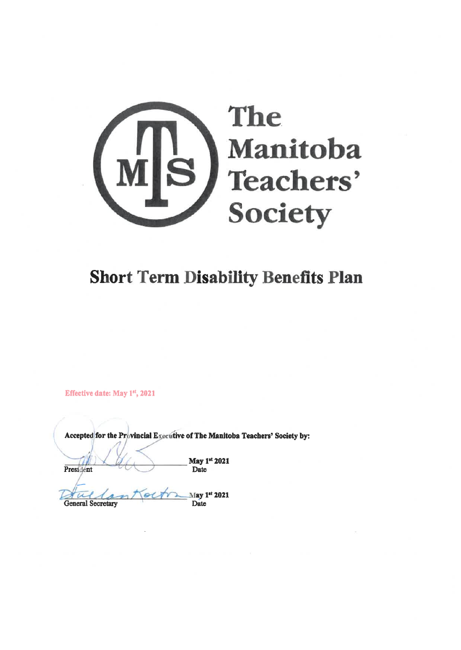

## **Short Term Disability Benefits Plan**

Effective date: May 1st, 2021

Accepted for the Provincial Executive of The Manitoba Teachers' Society by:

President

May 1st 2021 Date

May 1st 2021  $\alpha$ Tuesa **General Secretary** Date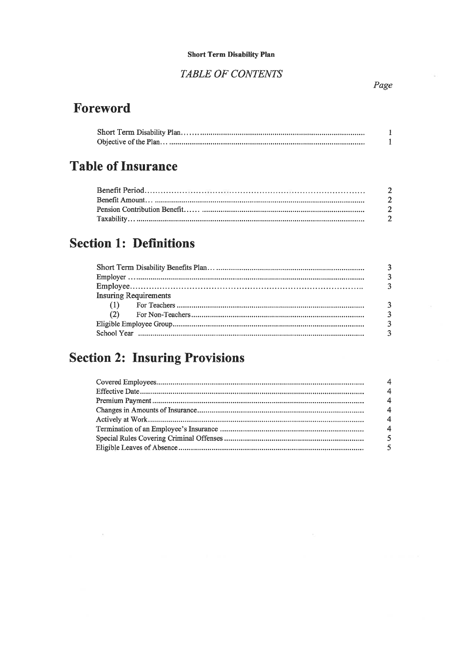#### **Short Term Disability Plan**

### **TABLE OF CONTENTS**

### Foreword

### **Table of Insurance**

| $\overline{2}$ |
|----------------|
| 2              |
|                |
|                |
|                |

### **Section 1: Definitions**

|                              | $\overline{3}$          |
|------------------------------|-------------------------|
| <b>Insuring Requirements</b> |                         |
|                              | 3                       |
|                              | $\overline{3}$          |
|                              | 3                       |
|                              | $\overline{\mathbf{3}}$ |

## **Section 2: Insuring Provisions**

| $\overline{4}$        |
|-----------------------|
| $\overline{4}$        |
| $\overline{4}$        |
| $\overline{4}$        |
| $\boldsymbol{\Delta}$ |
| $\boldsymbol{A}$      |
| $\sqrt{5}$            |
| $\sqrt{5}$            |
|                       |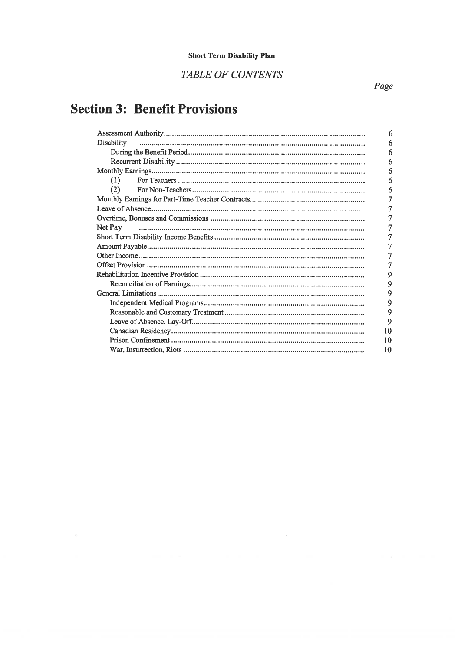### TABLE OF CONTENTS

## **Section 3: Benefit Provisions**

|            | 6  |
|------------|----|
| Disability | 6  |
|            | 6  |
|            | 6  |
|            | 6  |
| (1)        | 6  |
| (2)        | 6  |
|            |    |
|            |    |
|            |    |
| Net Pay    |    |
|            |    |
|            |    |
|            |    |
|            |    |
|            | 9  |
|            | 9  |
|            | 9  |
|            | 9  |
|            | 9  |
|            | 9  |
|            | 10 |
|            | 10 |
|            | 10 |
|            |    |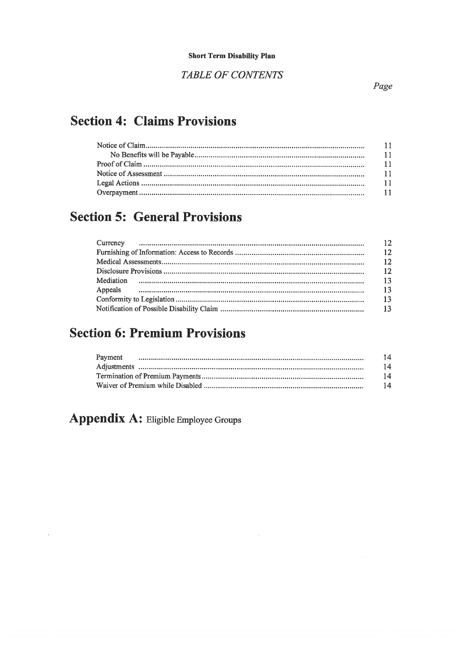**TABLE OF CONTENTS** 

### **Section 4: Claims Provisions**

### **Section 5: General Provisions**

| 12  |
|-----|
| 12  |
| 12  |
| 12  |
| -13 |
| 13  |
| 13  |
| -13 |

### **Section 6: Premium Provisions**

| 14 |
|----|
| 14 |
| 14 |
| 14 |

### Appendix A: Eligible Employee Groups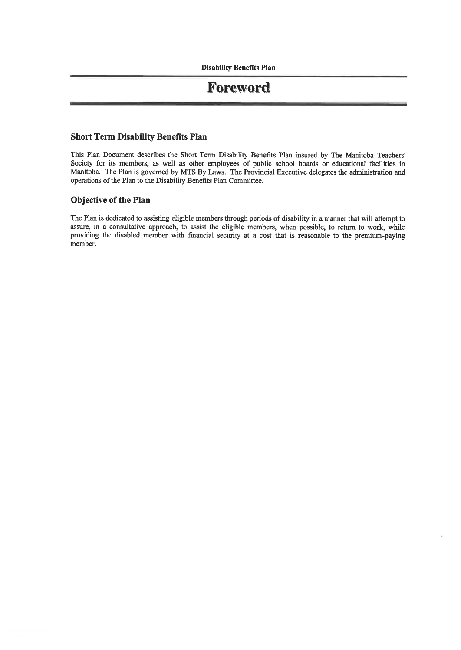### Foreword

#### Short Term Disability Benefits Plan

This Plan Document describes the Short Term Disability Benefits Plan insured by The Manitoba Teachers' Society for its members, as well as other employees of public school boards or educational facilities in Manitoba. The Plan is governed by MTS By Laws. The Provincial Executive delegates the administration and operations of the Plan to the Disability Benefits Plan Committee.

#### Objective of the Plan

The Plan is dedicated to assisting eligible members through periods of disability in a manner that will attempt to assure, in a consultative approach, to assist the eligible members, when possible, to return to work, while providing the disabled member with financial security at a cost that is reasonable to the premium-paying member.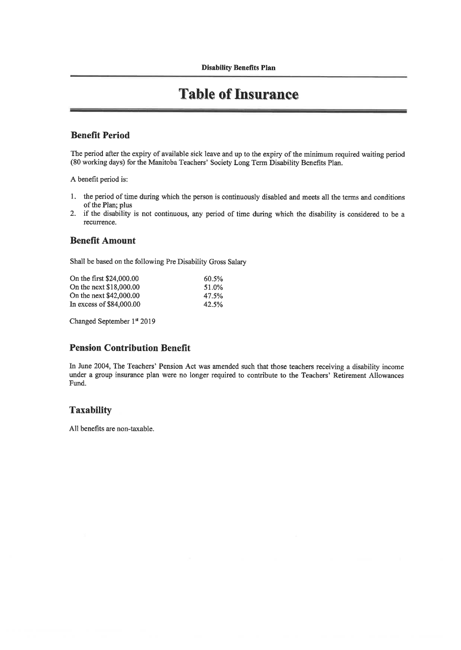### **Table of Insurance**

#### **Benefit Period**

The period after the expiry of available sick leave and up to the expiry of the minimum required waiting period (80 working days) for the Manitoba Teachers' Society Long Term Disability Benefits Plan.

A benefit period is:

- 1. the period of time during which the person is continuously disabled and meets all the terms and conditions of the Plan; plus
- 2. if the disability is not continuous, any period of time during which the disability is considered to be a recurrence.

#### Benefit Amount

Shall be based on the following Pre Disability Gross Salary

| 60.5% |
|-------|
| 51.0% |
| 47.5% |
| 42.5% |
|       |

Changed September 1st 2019

#### Pension Contribution Benefit

In June 2004, The Teachers' Pension Act was amended such that those teachers receiving a disability income under a group insurance plan were no longer required to contribute to the Teachers' Retirement Allowances Fund.

#### **Taxability**

All benefits are non-taxable.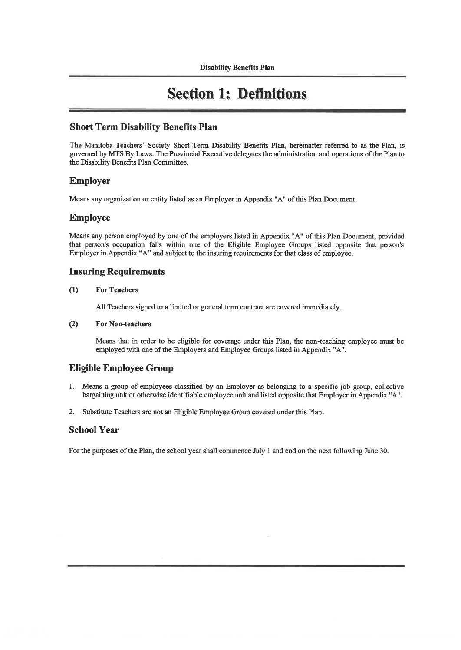### **Section 1: Definitions**

#### Short Term Disability Benefits Plan

The Manitoba Teachers' Society Short Term Disability Benefits Plan, hereinafter referred to as the Plan, is governed by MTS By Laws. The Provincial Executive delegates the administration and operations of the Plan to the Disability Benefits Plan Committee.

#### Employer

Means any organization or entity listed as an Employer in Appendix "A" of this Plan Document.

#### Employee

Means any person employed by one of the employers listed in Appendix "A" of this Plan Document, provided that person's occupation falls within one of the Eligible Employee Groups listed opposite that person's Employer in Appendix "A" and subject to the insuring requirements for that class of employee.

#### Insuring Requirements

#### (1) For Teachers

All Teachers signed to a limited or general term contract are covered immediately.

#### (2) For Non-teachers

Means that in order to be eligible for coverage under this Plan, the non-teaching employee must be employed with one of the Employers and Employee Groups listed in Appendix "A".

#### Eligible Employee Group

- 1. Means a group of employees classified by an Employer as belonging to a specific job group, collective bargaining unit or otherwise identifiable employee unit and listed opposite that Employer in Appendix "A"
- 2. Substitute Teachers are not an Eligible Employee Group covered under this Plan.

#### School Year

For the purposes of the Plan, the school year shall commence July 1 and end on the next following June 30.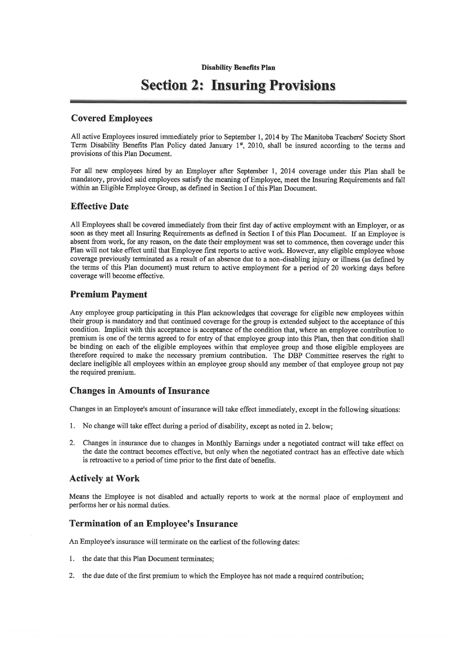### Section 2: Insuring Provisions

#### Covered Employees

All active Employees insured immediately prior to September 1, 2014 by The Manitoba Teachers' Society Short Term Disability Benefits Plan Policy dated January  $1<sup>st</sup>$ , 2010, shall be insured according to the terms and provisions of this Plan Document.

For all new employees hired by an Employer after September 1, 2014 coverage under this Plan shall be mandatory, provided said employees satisfy the meaning of Employee, meet the Insuring Requirements and fall within an Eligible Employee Group, as defined in Section I of this Plan Document.

#### Effective Date

All Employees shall be covered immediately from their first day of active employment with an Employer, or as soon as they meet all Insuring Requirements as defined in Section I of this Plan Document. If an Employee is absent from work, for any reason, on the date their employment was set to commence, then coverage under this Plan will not take effect until that Employee first reports to active work. However, any eligible employee whose coverage previously terminated as a result of an absence due to a non-disabling injury or illness (as defined by the tenns of this Plan document) must return to active employment for a period of 20 working days before coverage will become effective.

#### Premium Payment

Any employee group participating in this Plan acknowledges that coverage for eligible new employees within their group is mandatory and that continued coverage for the group is extended subject to the acceptance of this condition. Implicit with this acceptance is acceptance of the condition that, where an employee contribution to premium is one of the tenns agreed to for entry of that employee group into this Plan, then that condition shall be binding on each of the eligible employees within that employee group and those eligible employees are therefore required to make the necessary premium contribution. The DBF Committee reserves the right to declare ineligible all employees within an employee group should any member of that employee group not pay the required premium.

#### Changes in Amounts of Insurance

Changes in an Employee's amount of insurance will take effect immediately, except in the following situations:

- 1. No change will take effect during a period of disability, except as noted in 2. below;
- 2. Changes in insurance due to changes in Monthly Earnings under a negotiated contract will take effect on the date the contract becomes effective, but only when the negotiated contract has an effective date which is retroactive to a period of time prior to the first date of benefits.

#### Actively at Work

Means the Employee is not disabled and actually reports to work at the normal place of employment and performs her or his normal duties.

#### Termination of an Employee's Insurance

An Employee's insurance will terminate on the earliest of the following dates:

- 1. the date that this Plan Document terminates;
- 2. the due date of the first premium to which the Employee has not made a required contribution;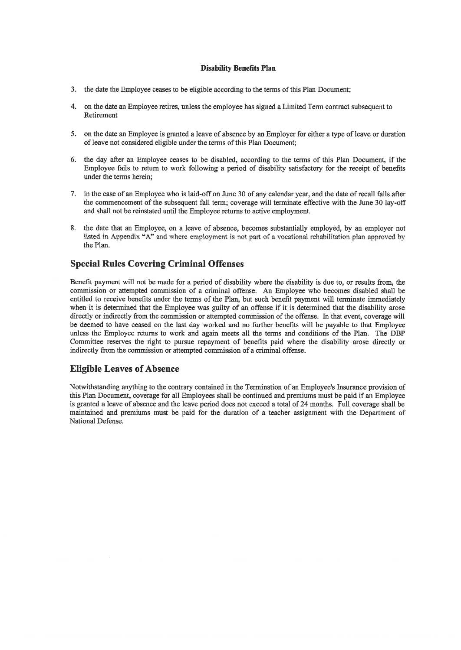- 3. the date the Employee ceases to be eligible according to the terms of this Plan Document;
- 4. on the date an Employee retires, unless the employee has signed a Limited Term contract subsequent to Retirement
- 5. on the date an Employee is granted a leave of absence by an Employer for either a type of leave or duration of leave not considered eligible under the terms of this Plan Document;
- 6. the day after m Employee ceases to be disabled, according to the terms of this Plan Document, if the Employee fails to return to work following a period of disability satisfactory for the receipt of benefits under the terms herein;
- 7. in the case of an Employee who is laid-off on June 30 of any calendar year, and the date of recall falls after the commencement of the subsequent fall term; coverage will terminate effective with the June 30 lay-off and shall not be reinstated until the Employee returns to active employment.
- 8. the date that an Employee, on a leave of absence, becomes substantially employed, by an employer not listed in Annendix "A" and where employment is not part of a vocational rehabilitation plan annroved b the Plan.

#### Special Rules Covering Criminal Offenses

Benefit payment will not be made for a period of disability where the disability is due to, or results from, the commission or attempted commission of a criminal offense. An Employee who becomes disabled shall be entitled to receive benefits under the terms of the Plan, but such benefit payment will terminate immediately when it is determined that the Employee was guilty of an offense if it is determined that the disability arose directly or indirectly from the commission or attempted commission of the offense. In that event, coverage will be deemed to have ceased on the last day worked and no further benefits will be payable to that Employee unless the Employee returns to work and again meets all the terms and conditions of the Plan. The DBF Committee reserves the right to pursue repayment of benefits paid where the disability arose directly or indirectly from the commission or attempted commission of a criminal offense.

#### Eligible Leaves of Absence

Notwithstanding anything to the contrary contained in the Termination of an Employee's Insurance provision of this Plan Document, coverage for all Employees shall be continued and premiums must be paid if an Employee is granted a leave of absence and the leave period does not exceed a total of 24 months. Full coverage shall be maintained and premiums must be paid for the duration of a teacher assignment with the Department of National Defense.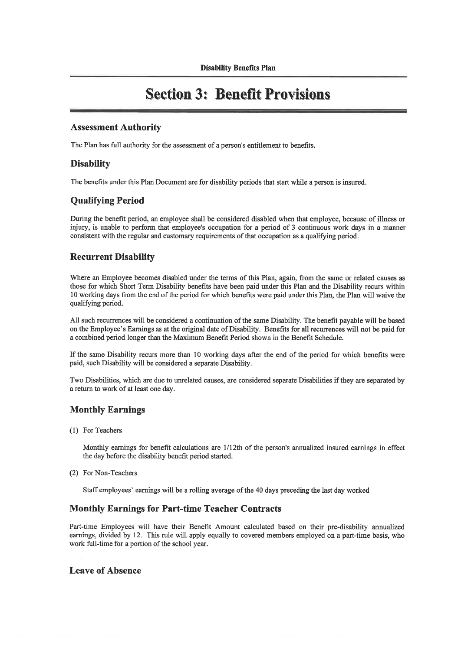### Section 3: Benefit Provisions

#### Assessment Authority

The Plan has fall authority for the assessment of a person's entitlement to benefits.

#### Disability

The benefits under this Plan Document are for disability periods that start while a person is msured.

#### Qualifying Period

During the benefit period, an employee shall be considered disabled when that employee, because of illness or injury, is unable to perform that employee's occupation for a period of 3 continuous work days in a manner consistent with the regular and customary requirements of that occupation as a qualifying period.

#### Recurrent Disability

Where an Employee becomes disabled under the terms of this Plan, again, from the same or related causes as those for which Short Tenn Disability benefits have been paid under this Plan and the Disability recurs within 10 working days from the end of the period for which benefits were paid under this Plan, the Plan will waive the qualifying period.

All such recurrences will be considered a continuation of the same Disability. The benefit payable will be based on the Employee's Earnings as at the original date of Disability. Benefits for all recurrences will not be paid for a combined period longer than the Maximum Benefit Period shown in the Benefit Schedule.

If the same Disability recurs more than 10 working days after the end of the period for which benefits were paid, such Disability will be considered a separate Disability.

Two Disabilities, which are due to unrelated causes, are considered separate Disabilities if they are separated by a return to work of at least one day.

#### Monthly Earnings

(1) For Teachers

Monthly earnings for benefit calculations are 1/12th of the person's annualized insured earnings in effect the day before the disability benefit period started.

(2) For Non-Teachers

Staff employees' earnings will be a rolling average of the 40 days preceding the last day worked

#### Monthly Earnings for Part-time Teacher Contracts

Part-time Employees will have their Benefit Amount calculated based on their pre-disability annualized earnings, divided by 12. This rule will apply equally to covered members employed on a part-time basis, who work full-time for a portion of the school year.

#### Leave of Absence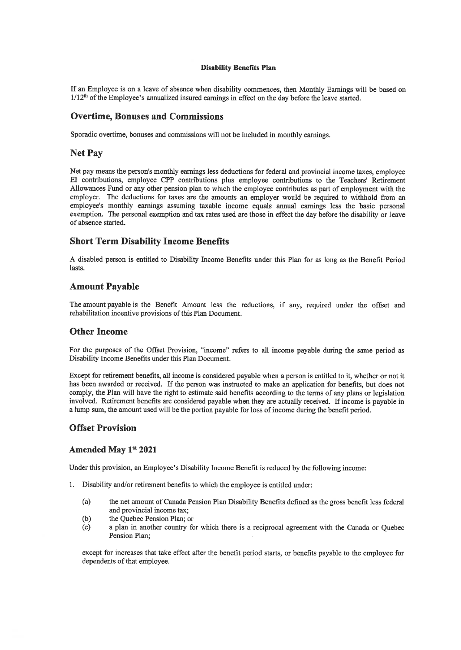If an Employee is on a leave of absence when disability commences, then Monthly Earnings will be based on  $1/12<sup>th</sup>$  of the Employee's annualized insured earnings in effect on the day before the leave started.

#### Overtime, Bonuses and Commissions

Sporadic overtime, bonuses and commissions will not be included in monthly earnings.

#### Net Pay

Net pay means the person's monthly earnings less deductions for federal and provincial income taxes, employee El contributions, employee CPP contributions plus employee contributions to the Teachers' Retirement Allowances Fimd or any other pension plan to which the employee contributes as part of employment with the employer. The deductions for taxes are the amounts an employer would be required to withhold from an employee's monthly earnings assuming taxable income equals annual earnings less the basic personal exemption. The personal exemption and tax rates used are those in effect the day before the disability or leave of absence started.

#### Short Term Disability Income Benefits

A disabled person is entitled to Disability Income Benefits under this Plan for as long as the Benefit Period lasts.

#### Amount Payable

The amount payable is the Benefit Amount less the reductions, if any, required under the offset and rehabilitation incentive provisions of this Plan Document.

#### Other Income

For the purposes of the Offset Provision, "income" refers to all income payable during the same period as Disability Income Benefits under this Plan Document.

Except for retirement benefits, all income is considered payable when a person is entitled to it, whether or not it has been awarded or received. If the person was instructed to make an application for benefits, but does not comply, the Plan will have the right to estimate said benefits according to the terms of any plans or legislation involved. Retirement benefits are considered payable when they are actually received. If income is payable in a lump sum, the amount used will be the portion payable for loss of income during the benefit period.

#### Offset Provision

#### Amended May 1st 2021

Under this provision, an Employee's Disability Income Benefit is reduced by the following income:

- 1. Disability and/or retirement benefits to which the employee is entitled under:
	- (a) the net amount of Canada Pension Plan Disability Benefits defined as the gross benefit less federal and provincial income tax;
	- (b) the Quebec Pension Plan; or
	- (c) a plan in another country for which there is a reciprocal agreement with the Canada or Quebec Pension Plan;

except for increases that take effect after the benefit period starts, or benefits payable to the employee for dependents of that employee.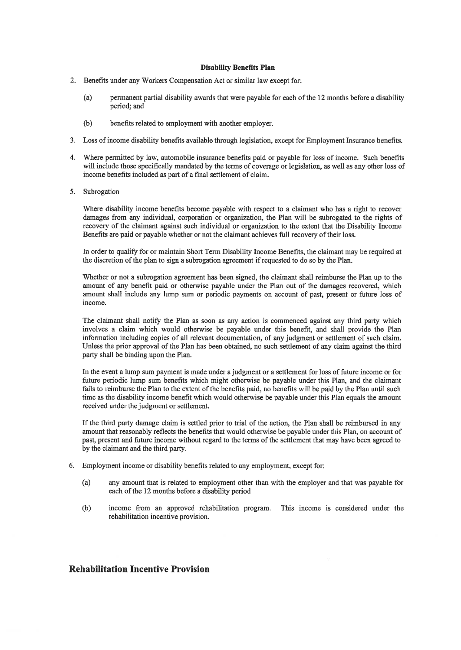- 2. Benefits under any Workers Compensation Act or similar law except for:
	- (a) permanent partial disability awards that were payable for each of the 12 months before a disability period; and
	- (b) benefits related to employment with another employer.
- 3. Loss of income disability benefits available through legislation, except for Employment Insurance benefits.
- 4. Where permitted by law, automobile insurance benefits paid or payable for loss of income. Such benefits will include those specifically mandated by the terms of coverage or legislation, as well as any other loss of income benefits included as part of a final settlement of claim.
- 5. Subrogation

Where disability income benefits become payable with respect to a claimant who has a right to recover damages from any individual, corporation or organizadon, the Plan will be subrogated to the rights of recovery of the claimant against such individual or organization to the extent that the Disability Income Benefits are paid or payable whether or not the claimant achieves full recovery of their loss.

In order to qualify for or maintain Short Term Disability Income Benefits, the claimant may be required at the discretion of the plan to sign a subrogation agreement if requested to do so by the Plan.

Whether or not a subrogation agreement has been signed, the claimant shall reimburse the Plan up to the amount of any benefit paid or otherwise payable under the Plan out of the damages recovered, which amount shall include any lump sum or periodic payments on account of past, present or future loss of income.

The claimant shall notify the Plan as soon as any action is commenced against any third party which involves a claim which would otherwise be payable under this benefit, and shall provide the Plan information including copies of all relevant documentation, of any judgment or settlement of such claim. Unless the prior approval of the Plan has been obtained, no such settlement of any claim against the third party shall be binding upon the Plan.

In the event a lump sum payment is made under a judgment or a settlement for loss of future income or for future periodic lump sum benefits which might otherwise be payable under this Plan, and the claimant fails to reimburse the Plan to the extent of the benefits paid, no benefits will be paid by the Plan until such time as the disability income benefit which would otherwise be payable under this Plan equals the amount received under the judgment or settlement.

If the third party damage claim is settled prior to trial of the action, the Plan shall be reimbursed in any amount that reasonably reflects the benefits that would otherwise be payable under this Plan, on account of past, present and future income without regard to the terms of the settlement that may have been agreed to by the clamiant and the third party.

- 6. Employment income or disability benefits related to any employment, except for:
	- (a) any amount that is related to employment other than with the employer and that was payable for each of the 12 months before a disability period
	- (b) income from an approved rehabilitation program. This income is considered under the rehabilitation incentive provision.

#### Rehabilitation Incentive Provision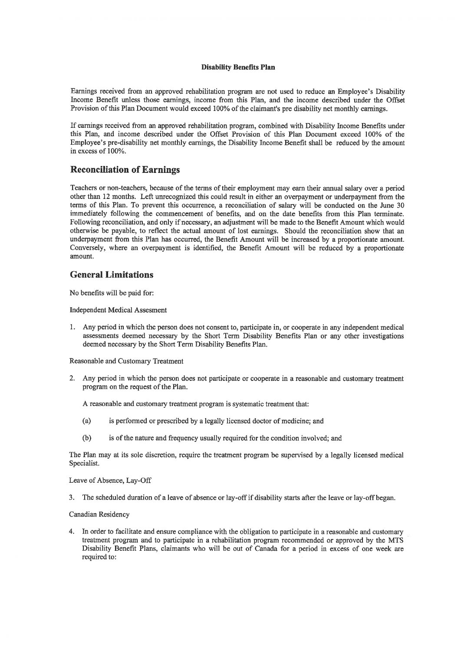Earnings received from an approved rehabilitation program are not used to reduce an Employee's Disability Income Benefit unless those earnings, income from this Plan, and the income described under the Offset Provision of this Plan Document would exceed 100% of the claimant's pre disability net monthly earnings.

If earnings received from an approved rehabilitation program, combined with Disability Income Benefits under this Plan, and income described under the Offset Provision of this Plan Document exceed 100% of the Employee's pre-disability net monthly eammgs, the Disability Income Benefit shall be reduced by the amount in excess of 100%.

#### Reconciliation of Earnings

Teachers or non-teachers, because of the tenns of their employment may earn their annual salary over a period other than 12 months. Left unrecognized this could result in either an overpayment or underpayment from the terms of this Plan. To prevent this occurrence, a reconciliation of salary will be conducted on the June 30 immediately following the commencement of benefits, and on the date benefits from this Plan terminate. Following reconciliation, and only if necessary, an adjustment will be made to the Benefit Amount which would otherwise be payable, to reflect the actual amount of lost earnings. Should the reconciliation show that an underpayment from this Plan has occurred, the Benefit Amount will be increased by a proportionate amount. Conversely, where an overpayment is identified, the Benefit Amount will be reduced by a proportionate amount.

#### General Limitations

No benefits will be paid for:

#### Independent Medical Assesment

1. Any period in which the person does not consent to, participate in, or cooperate in any independent medical assessments deemed necessary by the Short Term Disability Benefits Plan or any other investigations deemed necessary by the Short Term Disability Benefits Plan.

Reasonable and Customary Treatment

2. Any period in which the person does not participate or cooperate in a reasonable and customary treatment program on the request of the Plan.

A reasonable and customary treatment program is systematic treatment that:

- (a) is performed or prescribed by a legally licensed doctor of medicine; and
- (b) is of the nature and frequency usually required for the condition involved; and

The Plan may at its sole discretion, require the treatment program be supervised by a legally licensed medical Specialist.

Leave of Absence, Lay-OfF

3. The scheduled duration of a leave of absence or lay-off if disability starts after the leave or lay-off began.

#### Canadian Residency

4. In order to facilitate and ensure compliance with the obligation to participate in a reasonable and customary treatment program and to participate in a rehabilitation program recommended or approved by the MTS Disability Benefit Plans, claimants who will be out of Canada for a period in excess of one week are required to: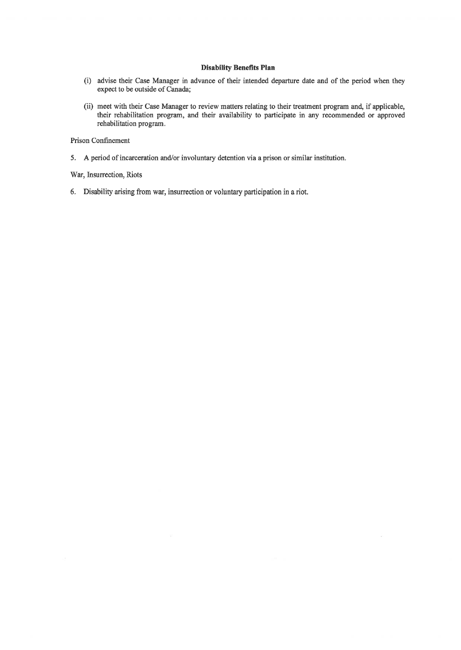- (i) advise their Case Manager in advance of their intended departure date and of the period when they expect to be outside of Canada;
- (ii) meet with their Case Manager to review matters relating to their treatment program and, if applicable, their rehabilitation program, and their availability to participate in any recommended or approved rehabilitation program.

Prison Confinement

5. A period of incarceration and/or involuntary detention via a prison or similar institution.

War, Insurrection, Riots

6. Disability arising from war, insurrection or voluntary participation in a riot.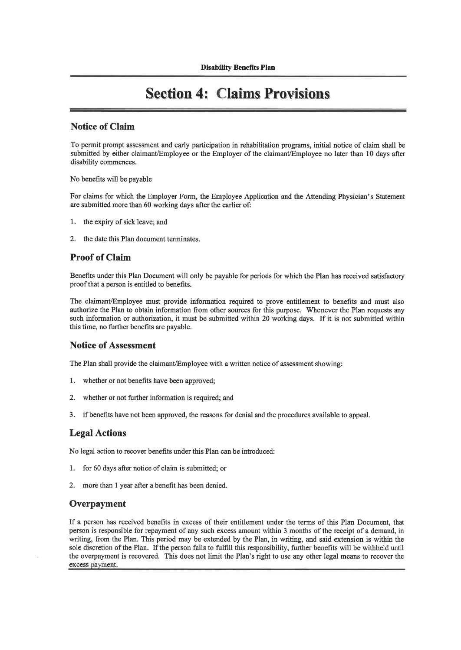### Section 4: Claims Provisions

#### Notice of Claim

To permit prompt assessment and early participation in rehabilitation programs, initial notice of claim shall be submitted by either claimant/Employee or the Employer of the claimant/Employee no later than 10 days after disability commences.

No benefits will be payable

For claims for which the Employer Fonn, the Employee Application and the Attending Physician's Statement are submitted more than 60 working days after the earlier of:

- 1. the expiry of sick leave; and
- 2. the date this Plan document terminates.

#### Proof of Claim

Benefits under this Plan Document will only be payable for periods for which the Plan has received satisfactory proof that a person is entitled to benefits.

The claimant/Employee must provide information required to prove entitlement to benefits and must also authorize the Plan to obtain information from other sources for this purpose. Whenever the Plan requests any such information or authorization, it must be submitted within 20 working days. If it is not submitted within this time, no further benefits are payable.

#### Notice of Assessment

The Plan shall provide the claimant/Employee with a written notice of assessment showing:

- 1. whether or not benefits have been approved;
- 2. whether or not further information is required; and
- 3. if benefits have not been approved, the reasons for denial and the procedures available to appeal.

#### Legal Actions

No legal action to recover benefits under this Plan can be introduced:

- 1. for 60 days after notice of claim is submitted; or
- 2. more than 1 year after a benefit has been denied.

#### **Overpayment**

If a person has received benefits in excess of their entitlement under the tenns of this Plan Document, that person is responsible for repayment of any such excess amount within 3 months of the receipt of a demand, in writing, from the Plan. This period may be extended by the Plan, in writing, and said extension is within the sole discretion of the Plan. If the person fails to fulfill this responsibility, further benefits will be withheld until the overpayment is recovered. This does not limit the Plan's right to use any other legal means to recover the excess payment.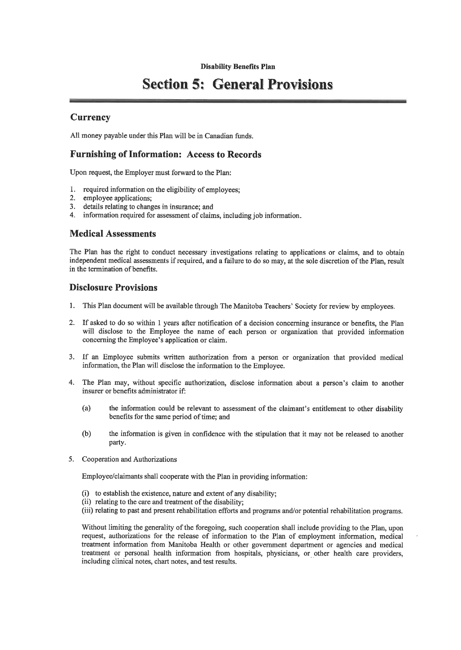### **Section 5: General Provisions**

#### **Currency**

All money payable under this Plan will be in Canadian funds.

#### Furnishing of Information: Access to Records

Upon request, the Employer must forward to the Plan:

- 1. required information on the eligibility of employees;
- 2. employee applications;
- 3. details relating to changes in insurance; and
- 4. information required for assessment of claims, including job information.

#### Medical Assessments

The Plan has the right to conduct necessary investigations relating to applications or claims, and to obtain independent medical assessments if required, and a failure to do so may, at the sole discretion of the Plan, result in the termination of benefits.

#### Disclosure Provisions

- 1. This Plan document will be available through The Manitoba Teachers' Society for review by employees.
- 2. If asked to do so within 1 years after notification of a decision concerning insurance or benefits, the Plan will disclose to the Employee the name of each person or organization that provided information concerning the Employee's application or claim.
- 3. If an Employee submits written authorization from a person or organization that provided medical information, the Plan will disclose the information to the Employee.
- 4. The Plan may, without specific authorization, disclose information about a person's claim to another insurer or benefits administrator if:
	- (a) the information could be relevant to assessment of the claunant's entitlement to other disability benefits for the same period of time; and
	- (b) the infonnation is given in confidence with the stipulation that it may not be released to another party.
- 5. Cooperation and Authorizations

Employee/claimants shall cooperate with the Plan in providing information:

- (i) to establish the existence, nature and extent of any disability;
- (ii) relating to the care and treatment of the disability;
- (iii) relating to past and present rehabilitation efforts and programs and/or potential rehabilitation programs.

Without limiting the generality of the foregoing, such cooperation shall include providing to the Plan, upon request, authorizations for the release of information to the Plan of employment information, medical treatment information from Manitoba Health or other government department or agencies and medical treatment or personal health infonnation from hospitals, physicians, or other health care providers, including clinical notes, chart notes, and test results.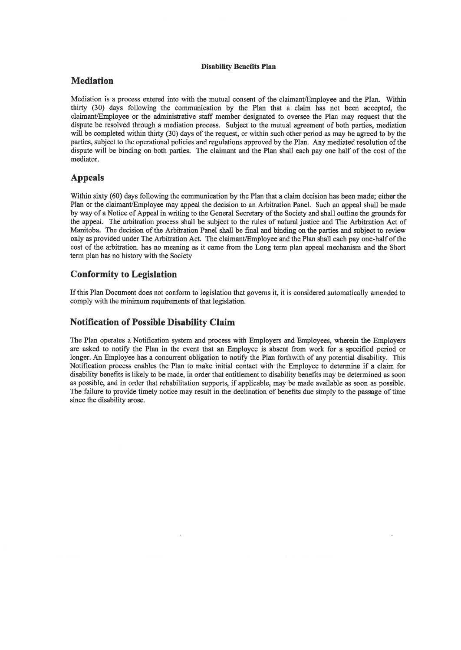#### Mediation

Mediation is a process entered into with the mutual consent of the claimant/Employee and the Plan. Within thirty (30) days following the communication by the Plan that a claim has not been accepted, the claimant/Employee or the admimstrative staff member designated to oversee the Plan may request that the dispute be resolved through a mediation process. Subject to the mutual agreement of both parties, mediation will be completed within thirty (30) days of the request, or within such other period as may be agreed to by the parties, subject to the operational policies and regulations approved by the Plan. Any mediated resolution of the dispute will be binding on both parties. The claimant and the Plan shall each pay one half of the cost of the mediator.

#### Appeals

Within sixty (60) days following the communication by the Plan that a claim decision has been made; either the Plan or the claimant/Employee may appeal the decision to an Arbitration Panel. Such an appeal shall be made by way of a Notice of Appeal in writing to the General Secretary of the Society and shall outline the grounds for the appeal. The arbitration process shall be subject to the mles of natural justice and The Arbitration Act of Manitoba. The decision of the Arbitration Panel shall be final and binding on the parties and subject to review only as provided under The Arbitration Act. The claimant/Employee and the Plan shall each pay one-halfofthe cost of the arbitration, has no meaning as it came from the Long term plan appeal mechanism and the Short term plan has no history with the Society

#### Conformity to Legislation

If this Plan Document does not conform to legislation that governs it, it is considered automatically amended to comply with the minimum requirements of that legislation.

#### Notification of Possible Disability Claim

The Plan operates a Notification system and process with Employers and Employees, wherein the Employers are asked to notify the Plan in the event that an Employee is absent from work for a specified period or longer. An Employee has a concurrent obligation to notify the Plan forthwith of any potential disability. This Notification process enables the Plan to make initial contact with the Employee to determine if a claim for disability benefits is likely to be made, in order that entitlement to disability benefits may be determined as soon as possible, and in order that rehabilitation supports, if applicable, may be made available as soon as possible. The failure to provide timely notice may result in the declination of benefits due simply to the passage of time since the disability arose.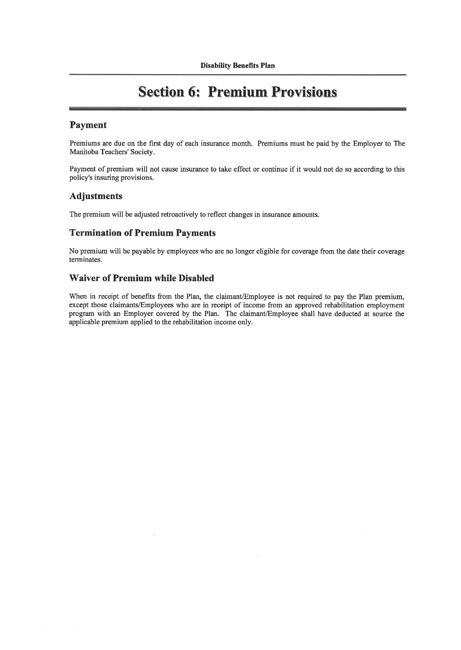### **Section 6: Premium Provisions**

#### Payment

Premiums are due on the first day of each insurance month. Premiums must be paid by the Employer to The Manitoba Teachers' Society.

Payment of premium will not cause insurance to take effect or continue if it would not do so according to this policy's insuring provisions.

#### Adjustments

The premium will be adjusted retroactively to reflect changes in insurance amounts.

#### Termination of Premium Payments

No premium will be payable by employees who are no longer eligible for coverage from the date their coverage terminates.

#### Waiver of Premium while Disabled

When in receipt of benefits from the Plan, the claimant/Employee is not required to pay the Plan premium, except those claimants/Employees who are in receipt of income from an approved rehabilitation employment program with an Employer covered by the Plan. The claimant/Employee shall have deducted at source the applicable premium applied to the rehabilitation income only.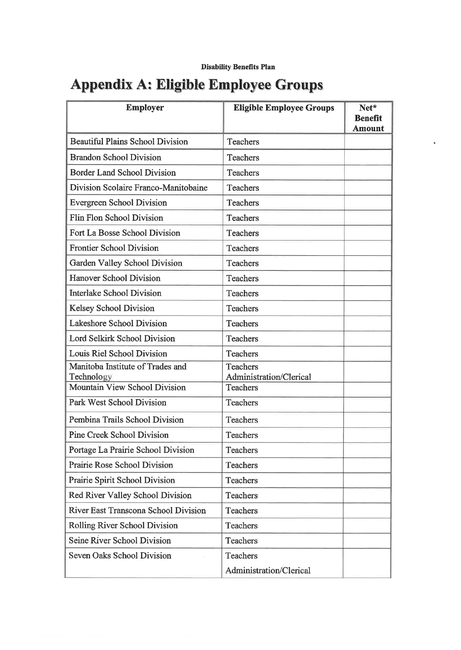# Appendix A: Eligible Employee Groups

| <b>Employer</b>                                | <b>Eligible Employee Groups</b>     | Net*                            |
|------------------------------------------------|-------------------------------------|---------------------------------|
|                                                |                                     | <b>Benefit</b><br><b>Amount</b> |
| <b>Beautiful Plains School Division</b>        | Teachers                            |                                 |
| <b>Brandon School Division</b>                 | Teachers                            |                                 |
| <b>Border Land School Division</b>             | Teachers                            |                                 |
| Division Scolaire Franco-Manitobaine           | Teachers                            |                                 |
| Evergreen School Division                      | <b>Teachers</b>                     |                                 |
| Flin Flon School Division                      | Teachers                            |                                 |
| Fort La Bosse School Division                  | Teachers                            |                                 |
| <b>Frontier School Division</b>                | Teachers                            |                                 |
| Garden Valley School Division                  | Teachers                            |                                 |
| <b>Hanover School Division</b>                 | <b>Teachers</b>                     |                                 |
| <b>Interlake School Division</b>               | <b>Teachers</b>                     |                                 |
| <b>Kelsey School Division</b>                  | <b>Teachers</b>                     |                                 |
| Lakeshore School Division                      | <b>Teachers</b>                     |                                 |
| Lord Selkirk School Division                   | <b>Teachers</b>                     |                                 |
| Louis Riel School Division                     | <b>Teachers</b>                     |                                 |
| Manitoba Institute of Trades and<br>Technology | Teachers<br>Administration/Clerical |                                 |
| Mountain View School Division                  | <b>Teachers</b>                     |                                 |
| Park West School Division                      | Teachers                            |                                 |
| Pembina Trails School Division                 | Teachers                            |                                 |
| <b>Pine Creek School Division</b>              | Teachers                            |                                 |
| Portage La Prairie School Division             | Teachers                            |                                 |
| Prairie Rose School Division                   | Teachers                            |                                 |
| Prairie Spirit School Division                 | <b>Teachers</b>                     |                                 |
| Red River Valley School Division               | <b>Teachers</b>                     |                                 |
| River East Transcona School Division           | Teachers                            |                                 |
| Rolling River School Division                  | <b>Teachers</b>                     |                                 |
| Seine River School Division                    | <b>Teachers</b>                     |                                 |
| Seven Oaks School Division                     | Teachers                            |                                 |
|                                                | Administration/Clerical             |                                 |